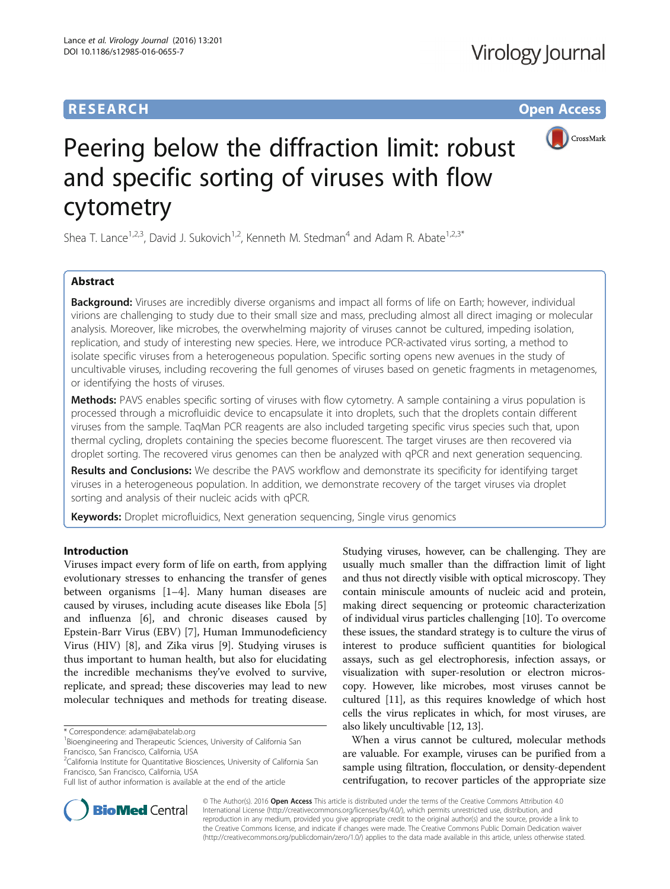# **RESEARCH CHE Open Access**



# Peering below the diffraction limit: robust and specific sorting of viruses with flow cytometry

Shea T. Lance<sup>1,2,3</sup>, David J. Sukovich<sup>1,2</sup>, Kenneth M. Stedman<sup>4</sup> and Adam R. Abate<sup>1,2,3\*</sup>

# Abstract

Background: Viruses are incredibly diverse organisms and impact all forms of life on Earth; however, individual virions are challenging to study due to their small size and mass, precluding almost all direct imaging or molecular analysis. Moreover, like microbes, the overwhelming majority of viruses cannot be cultured, impeding isolation, replication, and study of interesting new species. Here, we introduce PCR-activated virus sorting, a method to isolate specific viruses from a heterogeneous population. Specific sorting opens new avenues in the study of uncultivable viruses, including recovering the full genomes of viruses based on genetic fragments in metagenomes, or identifying the hosts of viruses.

Methods: PAVS enables specific sorting of viruses with flow cytometry. A sample containing a virus population is processed through a microfluidic device to encapsulate it into droplets, such that the droplets contain different viruses from the sample. TaqMan PCR reagents are also included targeting specific virus species such that, upon thermal cycling, droplets containing the species become fluorescent. The target viruses are then recovered via droplet sorting. The recovered virus genomes can then be analyzed with qPCR and next generation sequencing.

Results and Conclusions: We describe the PAVS workflow and demonstrate its specificity for identifying target viruses in a heterogeneous population. In addition, we demonstrate recovery of the target viruses via droplet sorting and analysis of their nucleic acids with qPCR.

Keywords: Droplet microfluidics, Next generation sequencing, Single virus genomics

# Introduction

Viruses impact every form of life on earth, from applying evolutionary stresses to enhancing the transfer of genes between organisms [[1](#page-8-0)–[4](#page-8-0)]. Many human diseases are caused by viruses, including acute diseases like Ebola [\[5](#page-8-0)] and influenza [\[6](#page-8-0)], and chronic diseases caused by Epstein-Barr Virus (EBV) [\[7](#page-8-0)], Human Immunodeficiency Virus (HIV) [[8](#page-8-0)], and Zika virus [[9](#page-8-0)]. Studying viruses is thus important to human health, but also for elucidating the incredible mechanisms they've evolved to survive, replicate, and spread; these discoveries may lead to new molecular techniques and methods for treating disease.

\* Correspondence: [adam@abatelab.org](mailto:adam@abatelab.org) <sup>1</sup>

<sup>2</sup>California Institute for Quantitative Biosciences, University of California San Francisco, San Francisco, California, USA

Full list of author information is available at the end of the article

Studying viruses, however, can be challenging. They are usually much smaller than the diffraction limit of light and thus not directly visible with optical microscopy. They contain miniscule amounts of nucleic acid and protein, making direct sequencing or proteomic characterization of individual virus particles challenging [\[10](#page-8-0)]. To overcome these issues, the standard strategy is to culture the virus of interest to produce sufficient quantities for biological assays, such as gel electrophoresis, infection assays, or visualization with super-resolution or electron microscopy. However, like microbes, most viruses cannot be cultured [[11](#page-8-0)], as this requires knowledge of which host cells the virus replicates in which, for most viruses, are also likely uncultivable [[12](#page-8-0), [13\]](#page-8-0).

When a virus cannot be cultured, molecular methods are valuable. For example, viruses can be purified from a sample using filtration, flocculation, or density-dependent centrifugation, to recover particles of the appropriate size



© The Author(s). 2016 **Open Access** This article is distributed under the terms of the Creative Commons Attribution 4.0 International License [\(http://creativecommons.org/licenses/by/4.0/](http://creativecommons.org/licenses/by/4.0/)), which permits unrestricted use, distribution, and reproduction in any medium, provided you give appropriate credit to the original author(s) and the source, provide a link to the Creative Commons license, and indicate if changes were made. The Creative Commons Public Domain Dedication waiver [\(http://creativecommons.org/publicdomain/zero/1.0/](http://creativecommons.org/publicdomain/zero/1.0/)) applies to the data made available in this article, unless otherwise stated.

<sup>&</sup>lt;sup>1</sup> Bioengineering and Therapeutic Sciences, University of California San Francisco, San Francisco, California, USA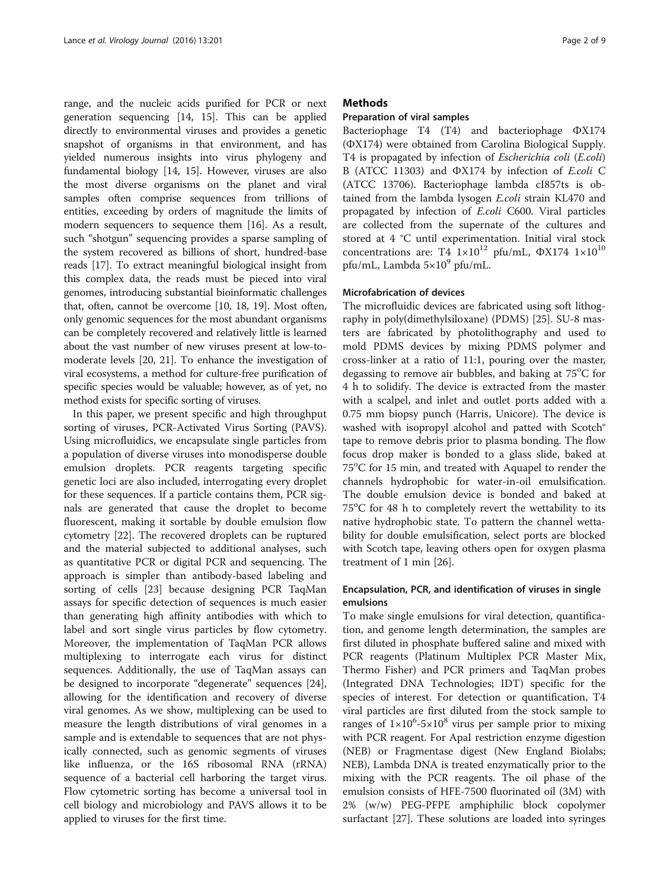range, and the nucleic acids purified for PCR or next generation sequencing [\[14, 15](#page-8-0)]. This can be applied directly to environmental viruses and provides a genetic snapshot of organisms in that environment, and has yielded numerous insights into virus phylogeny and fundamental biology [\[14, 15](#page-8-0)]. However, viruses are also the most diverse organisms on the planet and viral samples often comprise sequences from trillions of entities, exceeding by orders of magnitude the limits of modern sequencers to sequence them [[16](#page-8-0)]. As a result, such "shotgun" sequencing provides a sparse sampling of the system recovered as billions of short, hundred-base reads [[17](#page-8-0)]. To extract meaningful biological insight from this complex data, the reads must be pieced into viral genomes, introducing substantial bioinformatic challenges that, often, cannot be overcome [\[10, 18](#page-8-0), [19\]](#page-8-0). Most often, only genomic sequences for the most abundant organisms can be completely recovered and relatively little is learned about the vast number of new viruses present at low-tomoderate levels [[20](#page-8-0), [21\]](#page-8-0). To enhance the investigation of viral ecosystems, a method for culture-free purification of specific species would be valuable; however, as of yet, no method exists for specific sorting of viruses.

In this paper, we present specific and high throughput sorting of viruses, PCR-Activated Virus Sorting (PAVS). Using microfluidics, we encapsulate single particles from a population of diverse viruses into monodisperse double emulsion droplets. PCR reagents targeting specific genetic loci are also included, interrogating every droplet for these sequences. If a particle contains them, PCR signals are generated that cause the droplet to become fluorescent, making it sortable by double emulsion flow cytometry [\[22](#page-8-0)]. The recovered droplets can be ruptured and the material subjected to additional analyses, such as quantitative PCR or digital PCR and sequencing. The approach is simpler than antibody-based labeling and sorting of cells [\[23](#page-8-0)] because designing PCR TaqMan assays for specific detection of sequences is much easier than generating high affinity antibodies with which to label and sort single virus particles by flow cytometry. Moreover, the implementation of TaqMan PCR allows multiplexing to interrogate each virus for distinct sequences. Additionally, the use of TaqMan assays can be designed to incorporate "degenerate" sequences [\[24](#page-8-0)], allowing for the identification and recovery of diverse viral genomes. As we show, multiplexing can be used to measure the length distributions of viral genomes in a sample and is extendable to sequences that are not physically connected, such as genomic segments of viruses like influenza, or the 16S ribosomal RNA (rRNA) sequence of a bacterial cell harboring the target virus. Flow cytometric sorting has become a universal tool in cell biology and microbiology and PAVS allows it to be applied to viruses for the first time.

## **Methods**

## Preparation of viral samples

Bacteriophage T4 (T4) and bacteriophage  $\Phi$ X174 (ФX174) were obtained from Carolina Biological Supply. T4 is propagated by infection of Escherichia coli (E.coli) B (ATCC 11303) and  $\Phi$ X174 by infection of *E.coli* C (ATCC 13706). Bacteriophage lambda cI857ts is obtained from the lambda lysogen E.coli strain KL470 and propagated by infection of E.coli C600. Viral particles are collected from the supernate of the cultures and stored at 4 °C until experimentation. Initial viral stock concentrations are: T4  $1 \times 10^{12}$  pfu/mL,  $\Phi$ X174  $1 \times 10^{10}$ pfu/mL, Lambda  $5\times10^9$  pfu/mL.

## Microfabrication of devices

The microfluidic devices are fabricated using soft lithography in poly(dimethylsiloxane) (PDMS) [[25](#page-8-0)]. SU-8 masters are fabricated by photolithography and used to mold PDMS devices by mixing PDMS polymer and cross-linker at a ratio of 11:1, pouring over the master, degassing to remove air bubbles, and baking at 75°C for 4 h to solidify. The device is extracted from the master with a scalpel, and inlet and outlet ports added with a 0.75 mm biopsy punch (Harris, Unicore). The device is washed with isopropyl alcohol and patted with Scotch® tape to remove debris prior to plasma bonding. The flow focus drop maker is bonded to a glass slide, baked at 75°C for 15 min, and treated with Aquapel to render the channels hydrophobic for water-in-oil emulsification. The double emulsion device is bonded and baked at 75°C for 48 h to completely revert the wettability to its native hydrophobic state. To pattern the channel wettability for double emulsification, select ports are blocked with Scotch tape, leaving others open for oxygen plasma treatment of 1 min [[26](#page-8-0)].

# Encapsulation, PCR, and identification of viruses in single emulsions

To make single emulsions for viral detection, quantification, and genome length determination, the samples are first diluted in phosphate buffered saline and mixed with PCR reagents (Platinum Multiplex PCR Master Mix, Thermo Fisher) and PCR primers and TaqMan probes (Integrated DNA Technologies; IDT) specific for the species of interest. For detection or quantification, T4 viral particles are first diluted from the stock sample to ranges of  $1 \times 10^6$ -5 $\times 10^8$  virus per sample prior to mixing with PCR reagent. For ApaI restriction enzyme digestion (NEB) or Fragmentase digest (New England Biolabs; NEB), Lambda DNA is treated enzymatically prior to the mixing with the PCR reagents. The oil phase of the emulsion consists of HFE-7500 fluorinated oil (3M) with 2% (w/w) PEG-PFPE amphiphilic block copolymer surfactant [\[27\]](#page-8-0). These solutions are loaded into syringes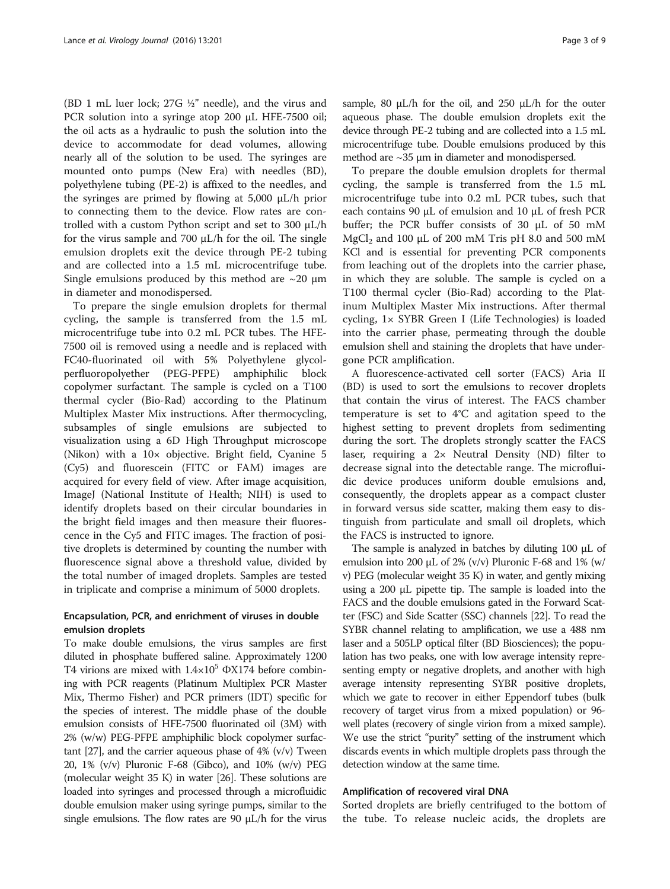(BD 1 mL luer lock; 27G ½" needle), and the virus and PCR solution into a syringe atop 200 μL HFE-7500 oil; the oil acts as a hydraulic to push the solution into the device to accommodate for dead volumes, allowing nearly all of the solution to be used. The syringes are mounted onto pumps (New Era) with needles (BD), polyethylene tubing (PE-2) is affixed to the needles, and the syringes are primed by flowing at 5,000 μL/h prior to connecting them to the device. Flow rates are controlled with a custom Python script and set to 300 μL/h for the virus sample and 700  $\mu$ L/h for the oil. The single emulsion droplets exit the device through PE-2 tubing and are collected into a 1.5 mL microcentrifuge tube. Single emulsions produced by this method are  $\sim$ 20  $\mu$ m in diameter and monodispersed.

To prepare the single emulsion droplets for thermal cycling, the sample is transferred from the 1.5 mL microcentrifuge tube into 0.2 mL PCR tubes. The HFE-7500 oil is removed using a needle and is replaced with FC40-fluorinated oil with 5% Polyethylene glycolperfluoropolyether (PEG-PFPE) amphiphilic block copolymer surfactant. The sample is cycled on a T100 thermal cycler (Bio-Rad) according to the Platinum Multiplex Master Mix instructions. After thermocycling, subsamples of single emulsions are subjected to visualization using a 6D High Throughput microscope (Nikon) with a 10× objective. Bright field, Cyanine 5 (Cy5) and fluorescein (FITC or FAM) images are acquired for every field of view. After image acquisition, ImageJ (National Institute of Health; NIH) is used to identify droplets based on their circular boundaries in the bright field images and then measure their fluorescence in the Cy5 and FITC images. The fraction of positive droplets is determined by counting the number with fluorescence signal above a threshold value, divided by the total number of imaged droplets. Samples are tested in triplicate and comprise a minimum of 5000 droplets.

# Encapsulation, PCR, and enrichment of viruses in double emulsion droplets

To make double emulsions, the virus samples are first diluted in phosphate buffered saline. Approximately 1200 T4 virions are mixed with  $1.4 \times 10^5$  ΦX174 before combining with PCR reagents (Platinum Multiplex PCR Master Mix, Thermo Fisher) and PCR primers (IDT) specific for the species of interest. The middle phase of the double emulsion consists of HFE-7500 fluorinated oil (3M) with 2% (w/w) PEG-PFPE amphiphilic block copolymer surfac-tant [\[27\]](#page-8-0), and the carrier aqueous phase of  $4\%$  (v/v) Tween 20, 1% (v/v) Pluronic F-68 (Gibco), and 10% (w/v) PEG (molecular weight 35 K) in water [[26\]](#page-8-0). These solutions are loaded into syringes and processed through a microfluidic double emulsion maker using syringe pumps, similar to the single emulsions. The flow rates are 90  $\mu$ L/h for the virus sample, 80  $\mu$ L/h for the oil, and 250  $\mu$ L/h for the outer aqueous phase. The double emulsion droplets exit the device through PE-2 tubing and are collected into a 1.5 mL microcentrifuge tube. Double emulsions produced by this method are ~35 μm in diameter and monodispersed.

To prepare the double emulsion droplets for thermal cycling, the sample is transferred from the 1.5 mL microcentrifuge tube into 0.2 mL PCR tubes, such that each contains 90 μL of emulsion and 10 μL of fresh PCR buffer; the PCR buffer consists of 30 μL of 50 mM MgCl<sub>2</sub> and 100  $\mu$ L of 200 mM Tris pH 8.0 and 500 mM KCl and is essential for preventing PCR components from leaching out of the droplets into the carrier phase, in which they are soluble. The sample is cycled on a T100 thermal cycler (Bio-Rad) according to the Platinum Multiplex Master Mix instructions. After thermal cycling, 1× SYBR Green I (Life Technologies) is loaded into the carrier phase, permeating through the double emulsion shell and staining the droplets that have undergone PCR amplification.

A fluorescence-activated cell sorter (FACS) Aria II (BD) is used to sort the emulsions to recover droplets that contain the virus of interest. The FACS chamber temperature is set to 4°C and agitation speed to the highest setting to prevent droplets from sedimenting during the sort. The droplets strongly scatter the FACS laser, requiring a 2× Neutral Density (ND) filter to decrease signal into the detectable range. The microfluidic device produces uniform double emulsions and, consequently, the droplets appear as a compact cluster in forward versus side scatter, making them easy to distinguish from particulate and small oil droplets, which the FACS is instructed to ignore.

The sample is analyzed in batches by diluting 100 μL of emulsion into 200 μL of 2% (v/v) Pluronic F-68 and 1% (w/ v) PEG (molecular weight 35 K) in water, and gently mixing using a 200 μL pipette tip. The sample is loaded into the FACS and the double emulsions gated in the Forward Scatter (FSC) and Side Scatter (SSC) channels [\[22](#page-8-0)]. To read the SYBR channel relating to amplification, we use a 488 nm laser and a 505LP optical filter (BD Biosciences); the population has two peaks, one with low average intensity representing empty or negative droplets, and another with high average intensity representing SYBR positive droplets, which we gate to recover in either Eppendorf tubes (bulk recovery of target virus from a mixed population) or 96 well plates (recovery of single virion from a mixed sample). We use the strict "purity" setting of the instrument which discards events in which multiple droplets pass through the detection window at the same time.

## Amplification of recovered viral DNA

Sorted droplets are briefly centrifuged to the bottom of the tube. To release nucleic acids, the droplets are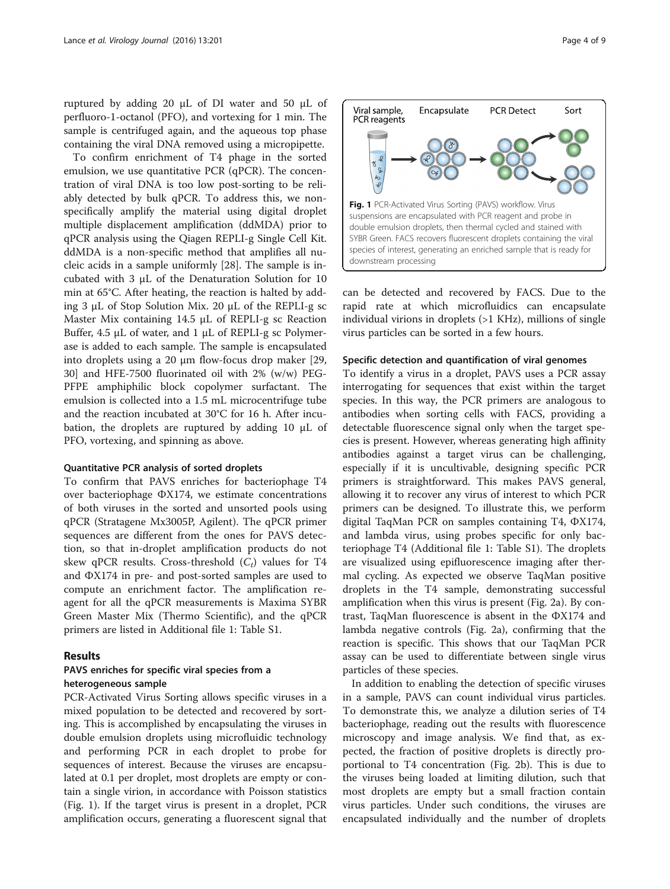ruptured by adding 20 μL of DI water and 50 μL of perfluoro-1-octanol (PFO), and vortexing for 1 min. The sample is centrifuged again, and the aqueous top phase containing the viral DNA removed using a micropipette.

To confirm enrichment of T4 phage in the sorted emulsion, we use quantitative PCR (qPCR). The concentration of viral DNA is too low post-sorting to be reliably detected by bulk qPCR. To address this, we nonspecifically amplify the material using digital droplet multiple displacement amplification (ddMDA) prior to qPCR analysis using the Qiagen REPLI-g Single Cell Kit. ddMDA is a non-specific method that amplifies all nucleic acids in a sample uniformly [[28](#page-8-0)]. The sample is incubated with 3 μL of the Denaturation Solution for 10 min at 65°C. After heating, the reaction is halted by adding 3 μL of Stop Solution Mix. 20 μL of the REPLI-g sc Master Mix containing 14.5 μL of REPLI-g sc Reaction Buffer, 4.5 μL of water, and 1 μL of REPLI-g sc Polymerase is added to each sample. The sample is encapsulated into droplets using a 20 μm flow-focus drop maker [[29](#page-8-0), [30\]](#page-8-0) and HFE-7500 fluorinated oil with 2% (w/w) PEG-PFPE amphiphilic block copolymer surfactant. The emulsion is collected into a 1.5 mL microcentrifuge tube and the reaction incubated at 30°C for 16 h. After incubation, the droplets are ruptured by adding 10 μL of PFO, vortexing, and spinning as above.

## Quantitative PCR analysis of sorted droplets

To confirm that PAVS enriches for bacteriophage T4 over bacteriophage ФX174, we estimate concentrations of both viruses in the sorted and unsorted pools using qPCR (Stratagene Mx3005P, Agilent). The qPCR primer sequences are different from the ones for PAVS detection, so that in-droplet amplification products do not skew qPCR results. Cross-threshold  $(C_t)$  values for T4 and ФX174 in pre- and post-sorted samples are used to compute an enrichment factor. The amplification reagent for all the qPCR measurements is Maxima SYBR Green Master Mix (Thermo Scientific), and the qPCR primers are listed in Additional file [1](#page-7-0): Table S1.

# Results

# PAVS enriches for specific viral species from a heterogeneous sample

PCR-Activated Virus Sorting allows specific viruses in a mixed population to be detected and recovered by sorting. This is accomplished by encapsulating the viruses in double emulsion droplets using microfluidic technology and performing PCR in each droplet to probe for sequences of interest. Because the viruses are encapsulated at 0.1 per droplet, most droplets are empty or contain a single virion, in accordance with Poisson statistics (Fig. 1). If the target virus is present in a droplet, PCR amplification occurs, generating a fluorescent signal that



can be detected and recovered by FACS. Due to the rapid rate at which microfluidics can encapsulate individual virions in droplets (>1 KHz), millions of single virus particles can be sorted in a few hours.

## Specific detection and quantification of viral genomes

To identify a virus in a droplet, PAVS uses a PCR assay interrogating for sequences that exist within the target species. In this way, the PCR primers are analogous to antibodies when sorting cells with FACS, providing a detectable fluorescence signal only when the target species is present. However, whereas generating high affinity antibodies against a target virus can be challenging, especially if it is uncultivable, designing specific PCR primers is straightforward. This makes PAVS general, allowing it to recover any virus of interest to which PCR primers can be designed. To illustrate this, we perform digital TaqMan PCR on samples containing T4, ФX174, and lambda virus, using probes specific for only bacteriophage T4 (Additional file [1:](#page-7-0) Table S1). The droplets are visualized using epifluorescence imaging after thermal cycling. As expected we observe TaqMan positive droplets in the T4 sample, demonstrating successful amplification when this virus is present (Fig. [2a\)](#page-4-0). By contrast, TaqMan fluorescence is absent in the ФX174 and lambda negative controls (Fig. [2a](#page-4-0)), confirming that the reaction is specific. This shows that our TaqMan PCR assay can be used to differentiate between single virus particles of these species.

In addition to enabling the detection of specific viruses in a sample, PAVS can count individual virus particles. To demonstrate this, we analyze a dilution series of T4 bacteriophage, reading out the results with fluorescence microscopy and image analysis. We find that, as expected, the fraction of positive droplets is directly proportional to T4 concentration (Fig. [2b](#page-4-0)). This is due to the viruses being loaded at limiting dilution, such that most droplets are empty but a small fraction contain virus particles. Under such conditions, the viruses are encapsulated individually and the number of droplets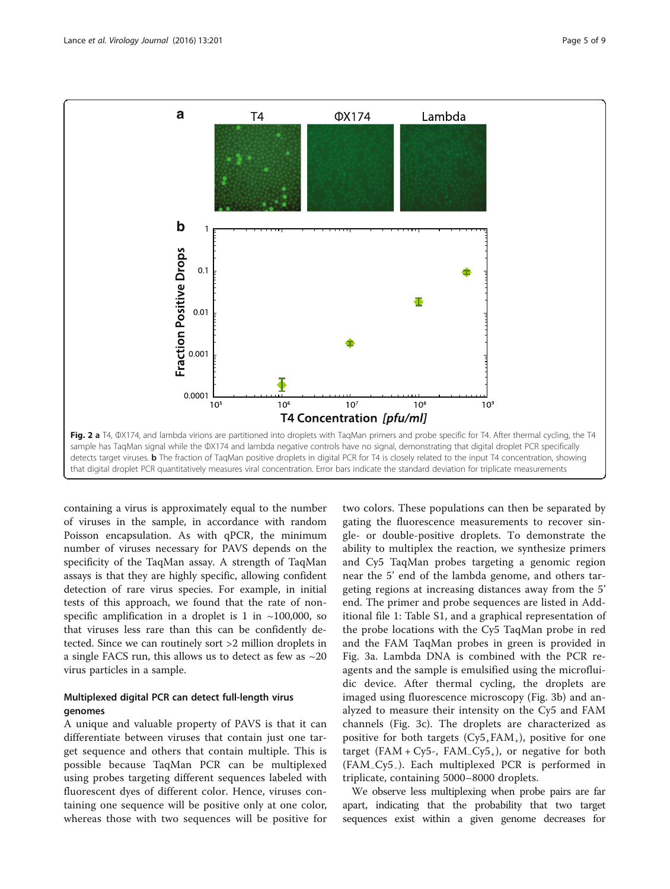<span id="page-4-0"></span>

containing a virus is approximately equal to the number of viruses in the sample, in accordance with random Poisson encapsulation. As with qPCR, the minimum number of viruses necessary for PAVS depends on the specificity of the TaqMan assay. A strength of TaqMan assays is that they are highly specific, allowing confident detection of rare virus species. For example, in initial tests of this approach, we found that the rate of nonspecific amplification in a droplet is 1 in  $\sim$ 100,000, so that viruses less rare than this can be confidently detected. Since we can routinely sort >2 million droplets in a single FACS run, this allows us to detect as few as  $\sim$ 20 virus particles in a sample.

# Multiplexed digital PCR can detect full-length virus genomes

A unique and valuable property of PAVS is that it can differentiate between viruses that contain just one target sequence and others that contain multiple. This is possible because TaqMan PCR can be multiplexed using probes targeting different sequences labeled with fluorescent dyes of different color. Hence, viruses containing one sequence will be positive only at one color, whereas those with two sequences will be positive for

two colors. These populations can then be separated by gating the fluorescence measurements to recover single- or double-positive droplets. To demonstrate the ability to multiplex the reaction, we synthesize primers and Cy5 TaqMan probes targeting a genomic region near the 5' end of the lambda genome, and others targeting regions at increasing distances away from the 5' end. The primer and probe sequences are listed in Additional file [1:](#page-7-0) Table S1, and a graphical representation of the probe locations with the Cy5 TaqMan probe in red and the FAM TaqMan probes in green is provided in Fig. [3a.](#page-5-0) Lambda DNA is combined with the PCR reagents and the sample is emulsified using the microfluidic device. After thermal cycling, the droplets are imaged using fluorescence microscopy (Fig. [3b](#page-5-0)) and analyzed to measure their intensity on the Cy5 and FAM channels (Fig. [3c](#page-5-0)). The droplets are characterized as positive for both targets  $(Cy5<sub>+</sub>FAM<sub>+</sub>)$ , positive for one target (FAM + Cy5-, FAM\_Cy5<sub>+</sub>), or negative for both (FAM−Cy5−). Each multiplexed PCR is performed in triplicate, containing 5000–8000 droplets.

We observe less multiplexing when probe pairs are far apart, indicating that the probability that two target sequences exist within a given genome decreases for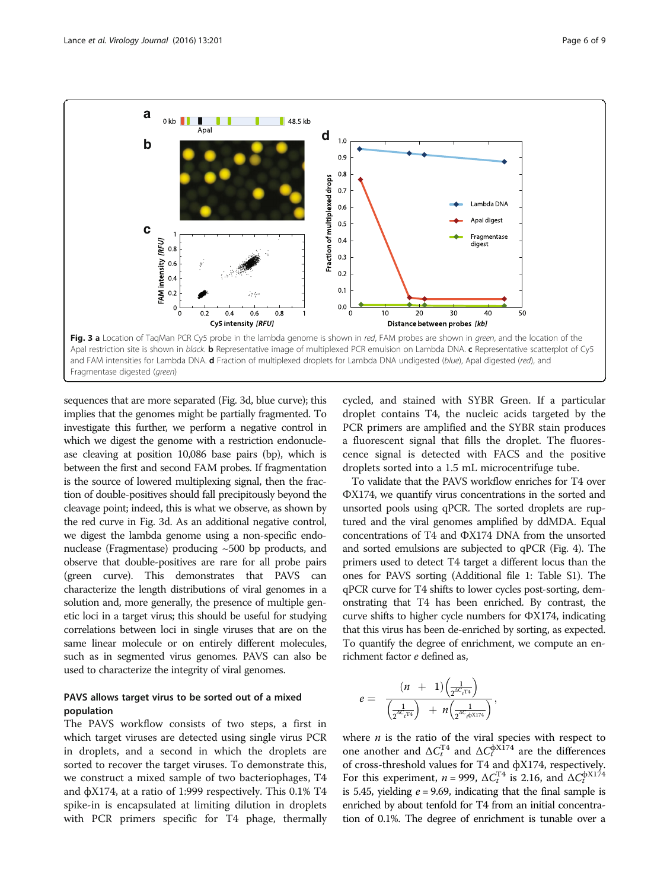<span id="page-5-0"></span>

sequences that are more separated (Fig. 3d, blue curve); this implies that the genomes might be partially fragmented. To investigate this further, we perform a negative control in which we digest the genome with a restriction endonuclease cleaving at position 10,086 base pairs (bp), which is between the first and second FAM probes. If fragmentation is the source of lowered multiplexing signal, then the fraction of double-positives should fall precipitously beyond the cleavage point; indeed, this is what we observe, as shown by the red curve in Fig. 3d. As an additional negative control, we digest the lambda genome using a non-specific endonuclease (Fragmentase) producing ~500 bp products, and observe that double-positives are rare for all probe pairs (green curve). This demonstrates that PAVS can characterize the length distributions of viral genomes in a solution and, more generally, the presence of multiple genetic loci in a target virus; this should be useful for studying correlations between loci in single viruses that are on the same linear molecule or on entirely different molecules, such as in segmented virus genomes. PAVS can also be used to characterize the integrity of viral genomes.

# PAVS allows target virus to be sorted out of a mixed population

The PAVS workflow consists of two steps, a first in which target viruses are detected using single virus PCR in droplets, and a second in which the droplets are sorted to recover the target viruses. To demonstrate this, we construct a mixed sample of two bacteriophages, T4 and фX174, at a ratio of 1:999 respectively. This 0.1% T4 spike-in is encapsulated at limiting dilution in droplets with PCR primers specific for T4 phage, thermally cycled, and stained with SYBR Green. If a particular droplet contains T4, the nucleic acids targeted by the PCR primers are amplified and the SYBR stain produces a fluorescent signal that fills the droplet. The fluorescence signal is detected with FACS and the positive droplets sorted into a 1.5 mL microcentrifuge tube.

To validate that the PAVS workflow enriches for T4 over ФX174, we quantify virus concentrations in the sorted and unsorted pools using qPCR. The sorted droplets are ruptured and the viral genomes amplified by ddMDA. Equal concentrations of T4 and ФX174 DNA from the unsorted and sorted emulsions are subjected to qPCR (Fig. [4](#page-6-0)). The primers used to detect T4 target a different locus than the ones for PAVS sorting (Additional file [1](#page-7-0): Table S1). The qPCR curve for T4 shifts to lower cycles post-sorting, demonstrating that T4 has been enriched. By contrast, the curve shifts to higher cycle numbers for ФX174, indicating that this virus has been de-enriched by sorting, as expected. To quantify the degree of enrichment, we compute an enrichment factor e defined as,

$$
e = \frac{(n + 1)\left(\frac{1}{2^{4C_t T_4}}\right)}{\left(\frac{1}{2^{4C_t T_4}}\right) + n\left(\frac{1}{2^{4C_t \phi X 174}}\right)},
$$

where  $n$  is the ratio of the viral species with respect to one another and  $\Delta C_t^{T4}$  and  $\Delta C_t^{\phi X \bar{1}74}$  are the differences of cross-threshold values for T4 and фX174, respectively. For this experiment,  $n = 999$ ,  $\Delta C_t^{T4}$  is 2.16, and  $\Delta C_t^{\Phi X 174}$ is 5.45, yielding  $e = 9.69$ , indicating that the final sample is enriched by about tenfold for T4 from an initial concentration of 0.1%. The degree of enrichment is tunable over a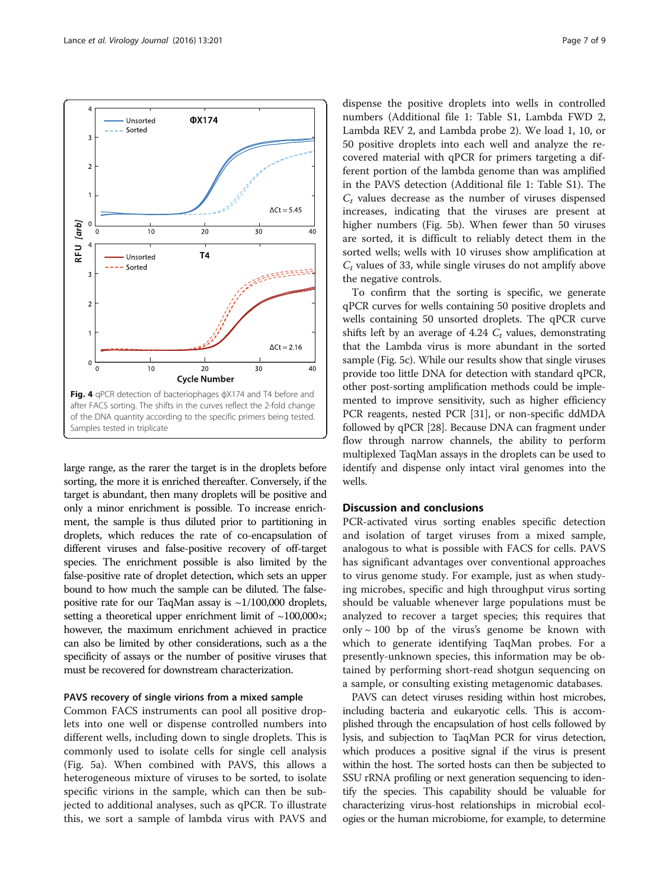large range, as the rarer the target is in the droplets before sorting, the more it is enriched thereafter. Conversely, if the target is abundant, then many droplets will be positive and only a minor enrichment is possible. To increase enrichment, the sample is thus diluted prior to partitioning in droplets, which reduces the rate of co-encapsulation of different viruses and false-positive recovery of off-target species. The enrichment possible is also limited by the false-positive rate of droplet detection, which sets an upper bound to how much the sample can be diluted. The falsepositive rate for our TaqMan assay is  $\sim$ 1/100,000 droplets, setting a theoretical upper enrichment limit of  $\sim$ 100,000 $\times$ ; however, the maximum enrichment achieved in practice can also be limited by other considerations, such as a the specificity of assays or the number of positive viruses that must be recovered for downstream characterization.

## PAVS recovery of single virions from a mixed sample

Common FACS instruments can pool all positive droplets into one well or dispense controlled numbers into different wells, including down to single droplets. This is commonly used to isolate cells for single cell analysis (Fig. [5a\)](#page-7-0). When combined with PAVS, this allows a heterogeneous mixture of viruses to be sorted, to isolate specific virions in the sample, which can then be subjected to additional analyses, such as qPCR. To illustrate this, we sort a sample of lambda virus with PAVS and

dispense the positive droplets into wells in controlled numbers (Additional file [1:](#page-7-0) Table S1, Lambda FWD 2, Lambda REV 2, and Lambda probe 2). We load 1, 10, or 50 positive droplets into each well and analyze the recovered material with qPCR for primers targeting a different portion of the lambda genome than was amplified in the PAVS detection (Additional file [1:](#page-7-0) Table S1). The  $C_t$  values decrease as the number of viruses dispensed increases, indicating that the viruses are present at higher numbers (Fig. [5b\)](#page-7-0). When fewer than 50 viruses are sorted, it is difficult to reliably detect them in the sorted wells; wells with 10 viruses show amplification at  $C_t$  values of 33, while single viruses do not amplify above the negative controls.

To confirm that the sorting is specific, we generate qPCR curves for wells containing 50 positive droplets and wells containing 50 unsorted droplets. The qPCR curve shifts left by an average of 4.24  $C_t$  values, demonstrating that the Lambda virus is more abundant in the sorted sample (Fig. [5c](#page-7-0)). While our results show that single viruses provide too little DNA for detection with standard qPCR, other post-sorting amplification methods could be implemented to improve sensitivity, such as higher efficiency PCR reagents, nested PCR [\[31\]](#page-8-0), or non-specific ddMDA followed by qPCR [[28](#page-8-0)]. Because DNA can fragment under flow through narrow channels, the ability to perform multiplexed TaqMan assays in the droplets can be used to identify and dispense only intact viral genomes into the wells.

# Discussion and conclusions

PCR-activated virus sorting enables specific detection and isolation of target viruses from a mixed sample, analogous to what is possible with FACS for cells. PAVS has significant advantages over conventional approaches to virus genome study. For example, just as when studying microbes, specific and high throughput virus sorting should be valuable whenever large populations must be analyzed to recover a target species; this requires that only  $\sim$  100 bp of the virus's genome be known with which to generate identifying TaqMan probes. For a presently-unknown species, this information may be obtained by performing short-read shotgun sequencing on a sample, or consulting existing metagenomic databases.

PAVS can detect viruses residing within host microbes, including bacteria and eukaryotic cells. This is accomplished through the encapsulation of host cells followed by lysis, and subjection to TaqMan PCR for virus detection, which produces a positive signal if the virus is present within the host. The sorted hosts can then be subjected to SSU rRNA profiling or next generation sequencing to identify the species. This capability should be valuable for characterizing virus-host relationships in microbial ecologies or the human microbiome, for example, to determine

<span id="page-6-0"></span>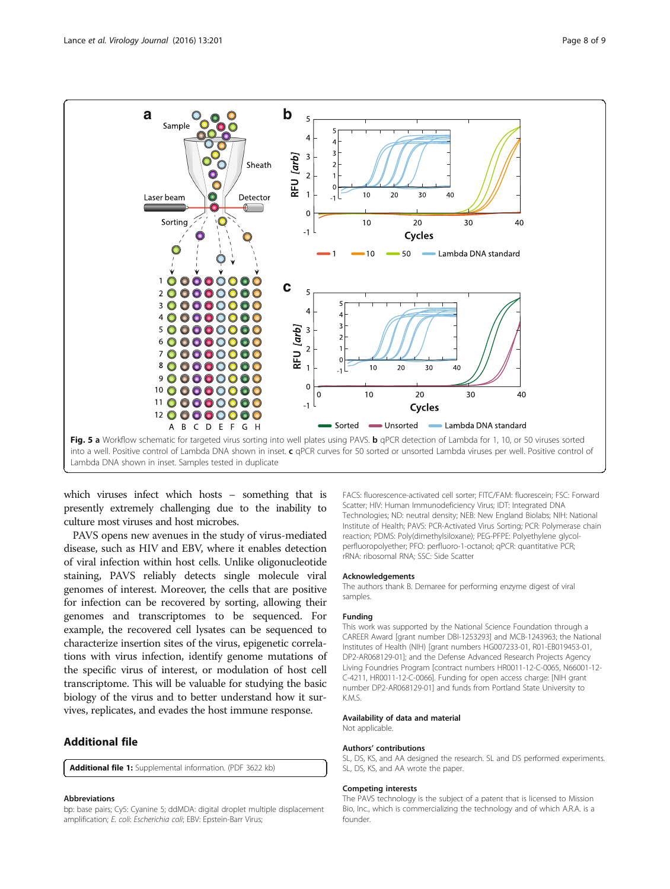<span id="page-7-0"></span>

which viruses infect which hosts – something that is presently extremely challenging due to the inability to culture most viruses and host microbes.

PAVS opens new avenues in the study of virus-mediated disease, such as HIV and EBV, where it enables detection of viral infection within host cells. Unlike oligonucleotide staining, PAVS reliably detects single molecule viral genomes of interest. Moreover, the cells that are positive for infection can be recovered by sorting, allowing their genomes and transcriptomes to be sequenced. For example, the recovered cell lysates can be sequenced to characterize insertion sites of the virus, epigenetic correlations with virus infection, identify genome mutations of the specific virus of interest, or modulation of host cell transcriptome. This will be valuable for studying the basic biology of the virus and to better understand how it survives, replicates, and evades the host immune response.

# Additional file

[Additional file 1:](dx.doi.org/10.1186/s12985-016-0655-7) Supplemental information. (PDF 3622 kb)

#### Abbreviations

bp: base pairs; Cy5: Cyanine 5; ddMDA: digital droplet multiple displacement amplification; E. coli: Escherichia coli; EBV: Epstein-Barr Virus;

FACS: fluorescence-activated cell sorter; FITC/FAM: fluorescein; FSC: Forward Scatter; HIV: Human Immunodeficiency Virus; IDT: Integrated DNA Technologies; ND: neutral density; NEB: New England Biolabs; NIH: National Institute of Health; PAVS: PCR-Activated Virus Sorting; PCR: Polymerase chain reaction; PDMS: Poly(dimethylsiloxane); PEG-PFPE: Polyethylene glycolperfluoropolyether; PFO: perfluoro-1-octanol; qPCR: quantitative PCR; rRNA: ribosomal RNA; SSC: Side Scatter

#### Acknowledgements

The authors thank B. Demaree for performing enzyme digest of viral samples.

#### Funding

This work was supported by the National Science Foundation through a CAREER Award [grant number DBI-1253293] and MCB-1243963; the National Institutes of Health (NIH) [grant numbers HG007233-01, R01-EB019453-01, DP2-AR068129-01]; and the Defense Advanced Research Projects Agency Living Foundries Program [contract numbers HR0011-12-C-0065, N66001-12- C-4211, HR0011-12-C-0066]. Funding for open access charge: [NIH grant number DP2-AR068129-01] and funds from Portland State University to K.M.S.

#### Availability of data and material

Not applicable.

#### Authors' contributions

SL, DS, KS, and AA designed the research. SL and DS performed experiments. SL, DS, KS, and AA wrote the paper.

#### Competing interests

The PAVS technology is the subject of a patent that is licensed to Mission Bio, Inc., which is commercializing the technology and of which A.R.A. is a founder.